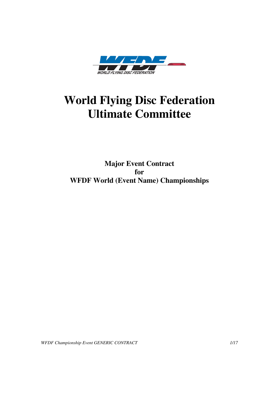

# **World Flying Disc Federation Ultimate Committee**

**Major Event Contract for WFDF World (Event Name) Championships** 

*WFDF Championship Event GENERIC CONTRACT 1/17*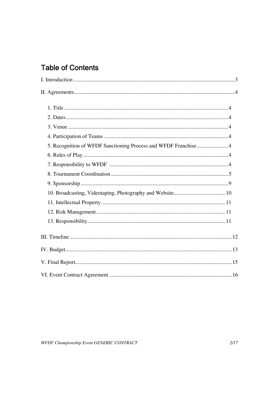## **Table of Contents**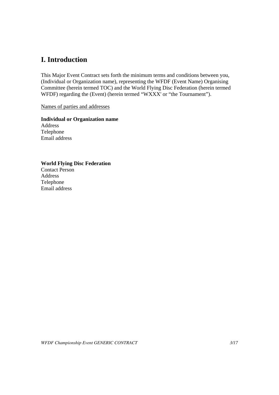## **I. Introduction**

This Major Event Contract sets forth the minimum terms and conditions between you, (Individual or Organization name), representing the WFDF (Event Name) Organising Committee (herein termed TOC) and the World Flying Disc Federation (herein termed WFDF) regarding the (Event) (herein termed "WXXX' or "the Tournament").

Names of parties and addresses

**Individual or Organization name**  Address Telephone Email address

#### **World Flying Disc Federation**

Contact Person Address Telephone Email address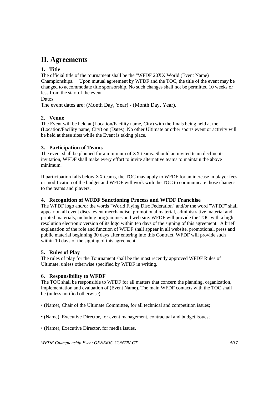### **II. Agreements**

#### **1. Title**

The official title of the tournament shall be the "WFDF 20XX World (Event Name) Championships." Upon mutual agreement by WFDF and the TOC, the title of the event may be changed to accommodate title sponsorship. No such changes shall not be permitted 10 weeks or less from the start of the event.

#### **Dates**

The event dates are: (Month Day, Year) - (Month Day, Year).

#### **2. Venue**

The Event will be held at (Location/Facility name, City) with the finals being held at the (Location/Facility name, City) on (Dates). No other Ultimate or other sports event or activity will be held at these sites while the Event is taking place.

#### **3. Participation of Teams**

The event shall be planned for a minimum of XX teams. Should an invited team decline its invitation, WFDF shall make every effort to invite alternative teams to maintain the above minimum.

If participation falls below XX teams, the TOC may apply to WFDF for an increase in player fees or modification of the budget and WFDF will work with the TOC to communicate those changes to the teams and players.

#### **4. Recognition of WFDF Sanctioning Process and WFDF Franchise**

The WFDF logo and/or the words "World Flying Disc Federation" and/or the word "WFDF" shall appear on all event discs, event merchandise, promotional material, administrative material and printed materials, including programmes and web site. WFDF will provide the TOC with a high resolution electronic version of its logo within ten days of the signing of this agreement. A brief explanation of the role and function of WFDF shall appear in all website, promotional, press and public material beginning 30 days after entering into this Contract. WFDF will provide such within 10 days of the signing of this agreement.

#### **5. Rules of Play**

The rules of play for the Tournament shall be the most recently approved WFDF Rules of Ultimate, unless otherwise specified by WFDF in writing.

#### **6. Responsibility to WFDF**

The TOC shall be responsible to WFDF for all matters that concern the planning, organization, implementation and evaluation of (Event Name). The main WFDF contacts with the TOC shall be (unless notified otherwise):

- (Name), Chair of the Ultimate Committee, for all technical and competition issues;
- (Name), Executive Director, for event management, contractual and budget issues;
- (Name), Executive Director, for media issues.

*WFDF Championship Event GENERIC CONTRACT 4/17*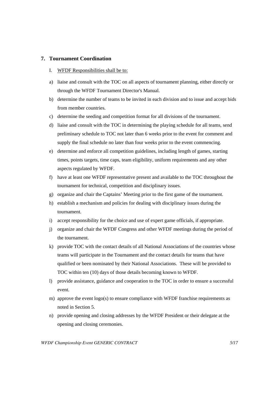#### **7. Tournament Coordination**

- I. WFDF Responsibilities shall be to:
- a) liaise and consult with the TOC on all aspects of tournament planning, either directly or through the WFDF Tournament Director's Manual.
- b) determine the number of teams to be invited in each division and to issue and accept bids from member countries.
- c) determine the seeding and competition format for all divisions of the tournament.
- d) liaise and consult with the TOC in determining the playing schedule for all teams, send preliminary schedule to TOC not later than 6 weeks prior to the event for comment and supply the final schedule no later than four weeks prior to the event commencing.
- e) determine and enforce all competition guidelines, including length of games, starting times, points targets, time caps, team eligibility, uniform requirements and any other aspects regulated by WFDF.
- f) have at least one WFDF representative present and available to the TOC throughout the tournament for technical, competition and disciplinary issues.
- g) organize and chair the Captains' Meeting prior to the first game of the tournament.
- h) establish a mechanism and policies for dealing with disciplinary issues during the tournament.
- i) accept responsibility for the choice and use of expert game officials, if appropriate.
- j) organize and chair the WFDF Congress and other WFDF meetings during the period of the tournament.
- k) provide TOC with the contact details of all National Associations of the countries whose teams will participate in the Tournament and the contact details for teams that have qualified or been nominated by their National Associations. These will be provided to TOC within ten (10) days of those details becoming known to WFDF.
- l) provide assistance, guidance and cooperation to the TOC in order to ensure a successful event.
- m) approve the event logo(s) to ensure compliance with WFDF franchise requirements as noted in Section 5.
- n) provide opening and closing addresses by the WFDF President or their delegate at the opening and closing ceremonies.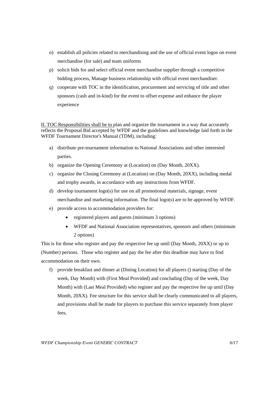- o) establish all policies related to merchandising and the use of official event logos on event merchandise (for sale) and team uniforms
- p) solicit bids for and select official event merchandise supplier through a competitive bidding process, Manage business relationship with official event merchandiser.
- q) cooperate with TOC in the identification, procurement and servicing of title and other sponsors (cash and in-kind) for the event to offset expense and enhance the player experience

II. TOC Responsibilities shall be to plan and organize the tournament in a way that accurately reflects the Proposal Bid accepted by WFDF and the guidelines and knowledge laid forth in the WFDF Tournament Director's Manual (TDM), including:

- a) distribute pre-tournament information to National Associations and other interested parties.
- b) organize the Opening Ceremony at (Location) on (Day Month, 20XX).
- c) organize the Closing Ceremony at (Location) on (Day Month, 20XX), including medal and trophy awards, in accordance with any instructions from WFDF.
- d) develop tournament logo(s) for use on all promotional materials, signage, event merchandise and marketing information. The final logo(s) are to be approved by WFDF.
- e) provide access to accommodation providers for:
	- registered players and guests (minimum 3 options)
	- WFDF and National Association representatives, sponsors and others (minimum 2 options)

This is for those who register and pay the respective fee up until (Day Month, 20XX) or up to (Number) persons. Those who register and pay the fee after this deadline may have to find accommodation on their own.

f) provide breakfast and dinner at (Dining Location) for all players () starting (Day of the week, Day Month) with (First Meal Provided) and concluding (Day of the week, Day Month) with (Last Meal Provided) who register and pay the respective fee up until (Day Month, 20XX). Fee structure for this service shall be clearly communicated to all players, and provisions shall be made for players to purchase this service separately from player fees.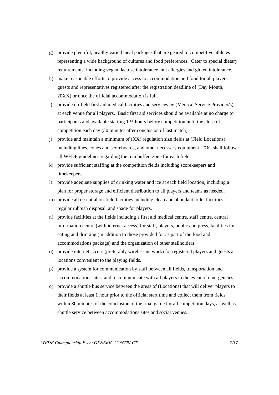- g) provide plentiful, healthy varied meal packages that are geared to competitive athletes representing a wide background of cultures and food preferences. Cater to special dietary requirements, including vegan, lactose intolerance, nut allergies and gluten intolerance.
- h) make reasonable efforts to provide access to accommodation and food for all players, guests and representatives registered after the registration deadline of (Day Month, 20XX) or once the official accommodation is full.
- i) provide on-field first aid medical facilities and services by (Medical Service Provider/s) at each venue for all players. Basic first aid services should be available at no charge to participants and available starting 1 ½ hours before competition until the close of competition each day (30 minutes after conclusion of last match).
- j) provide and maintain a minimum of (XX) regulation size fields at (Field Locations) including lines, cones and scoreboards, and other necessary equipment. TOC shall follow all WFDF guidelines regarding the 5 m buffer zone for each field.
- k) provide sufficient staffing at the competition fields including scorekeepers and timekeepers.
- l) provide adequate supplies of drinking water and ice at each field location, including a plan for proper storage and efficient distribution to all players and teams as needed.
- m) provide all essential on-field facilities including clean and abundant toilet facilities, regular rubbish disposal, and shade for players.
- n) provide facilities at the fields including a first aid medical centre, staff centre, central information centre (with internet access) for staff, players, public and press, facilities for eating and drinking (in addition to those provided for as part of the food and accommodations package) and the organization of other stallholders.
- o) provide internet access (preferably wireless network) for registered players and guests at locations convenient to the playing fields.
- p) provide a system for communication by staff between all fields, transportation and accommodations sites and to communicate with all players in the event of emergencies.
- q) provide a shuttle bus service between the areas of (Locations) that will deliver players to their fields at least 1 hour prior to the official start time and collect them from fields within 30 minutes of the conclusion of the final game for all competition days, as well as shuttle service between accommodations sites and social venues.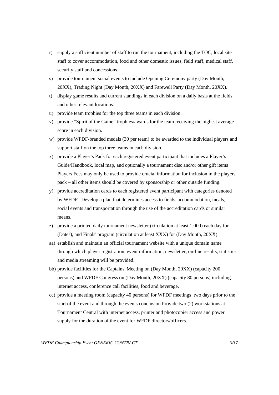- r) supply a sufficient number of staff to run the tournament, including the TOC, local site staff to cover accommodation, food and other domestic issues, field staff, medical staff, security staff and concessions.
- s) provide tournament social events to include Opening Ceremony party (Day Month, 20XX), Trading Night (Day Month, 20XX) and Farewell Party (Day Month, 20XX).
- t) display game results and current standings in each division on a daily basis at the fields and other relevant locations.
- u) provide team trophies for the top three teams in each division.
- v) provide "Spirit of the Game" trophies/awards for the team receiving the highest average score in each division.
- w) provide WFDF-branded medals (30 per team) to be awarded to the individual players and support staff on the top three teams in each division.
- x) provide a Player's Pack for each registered event participant that includes a Player's Guide/Handbook, local map, and optionally a tournament disc and/or other gift items Players Fees may only be used to provide crucial information for inclusion in the players pack – all other items should be covered by sponsorship or other outside funding.
- y) provide accreditation cards to each registered event participant with categories denoted by WFDF. Develop a plan that determines access to fields, accommodation, meals, social events and transportation through the use of the accreditation cards or similar means.
- z) provide a printed daily tournament newsletter (circulation at least 1,000) each day for (Dates), and Finals' program (circulation at least XXX) for (Day Month, 20XX).
- aa) establish and maintain an official tournament website with a unique domain name through which player registration, event information, newsletter, on-line results, statistics and media streaming will be provided.
- bb) provide facilities for the Captains' Meeting on (Day Month, 20XX) (capacity 200 persons) and WFDF Congress on (Day Month, 20XX) (capacity 80 persons) including internet access, conference call facilities, food and beverage.
- cc) provide a meeting room (capacity 40 persons) for WFDF meetings two days prior to the start of the event and through the events conclusion Provide two (2) workstations at Tournament Central with internet access, printer and photocopier access and power supply for the duration of the event for WFDF directors/officers.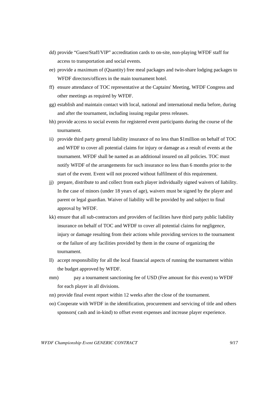- dd) provide "Guest/Staff/VIP" accreditation cards to on-site, non-playing WFDF staff for access to transportation and social events.
- ee) provide a maximum of (Quantity) free meal packages and twin-share lodging packages to WFDF directors/officers in the main tournament hotel.
- ff) ensure attendance of TOC representative at the Captains' Meeting, WFDF Congress and other meetings as required by WFDF.
- gg) establish and maintain contact with local, national and international media before, during and after the tournament, including issuing regular press releases.
- hh) provide access to social events for registered event participants during the course of the tournament.
- ii) provide third party general liability insurance of no less than \$1million on behalf of TOC and WFDF to cover all potential claims for injury or damage as a result of events at the tournament. WFDF shall be named as an additional insured on all policies. TOC must notify WFDF of the arrangements for such insurance no less than 6 months prior to the start of the event. Event will not proceed without fulfilment of this requirement.
- jj) prepare, distribute to and collect from each player individually signed waivers of liability. In the case of minors (under 18 years of age), waivers must be signed by the player and parent or legal guardian. Waiver of liability will be provided by and subject to final approval by WFDF.
- kk) ensure that all sub-contractors and providers of facilities have third party public liability insurance on behalf of TOC and WFDF to cover all potential claims for negligence, injury or damage resulting from their actions while providing services to the tournament or the failure of any facilities provided by them in the course of organizing the tournament.
- ll) accept responsibility for all the local financial aspects of running the tournament within the budget approved by WFDF.
- mm) pay a tournament sanctioning fee of USD (Fee amount for this event) to WFDF for each player in all divisions.
- nn) provide final event report within 12 weeks after the close of the tournament.
- oo) Cooperate with WFDF in the identification, procurement and servicing of title and others sponsors( cash and in-kind) to offset event expenses and increase player experience.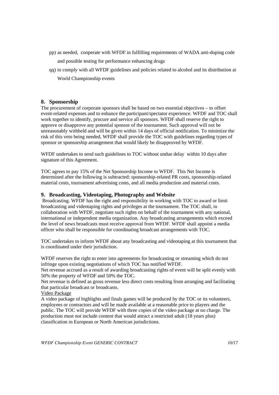- pp) as needed, cooperate with WFDF in fulfilling requirements of WADA anti-doping code and possible testing for performance enhancing drugs
- qq) to comply with all WFDF guidelines and policies related to alcohol and its distribution at World Championship events

#### **8. Sponsorship**

The procurement of corporate sponsors shall be based on two essential objectives – to offset event-related expenses and to enhance the participant/spectator experience. WFDF and TOC shall work together to identify, procure and service all sponsors. WFDF shall reserve the right to approve or disapprove any potential sponsor of the tournament. Such approval will not be unreasonably withheld and will be given within 14 days of official notification. To minimize the risk of this veto being needed, WFDF shall provide the TOC with guidelines regarding types of sponsor or sponsorship arrangement that would likely be disapproved by WFDF.

WFDF undertakes to send such guidelines to TOC without undue delay within 10 days after signature of this Agreement.

TOC agrees to pay 15% of the Net Sponsorship Income to WFDF. This Net Income is determined after the following is subtracted: sponsorship-related PR costs, sponsorship-related material costs, tournament advertising costs, and all media production and material costs.

#### **9. Broadcasting, Videotaping, Photography and Website**

 Broadcasting. WFDF has the right and responsibility in working with TOC to award or limit broadcasting and videotaping rights and privileges at the tournament. The TOC shall, in collaboration with WFDF, negotiate such rights on behalf of the tournament with any national, international or independent media organization. Any broadcasting arrangements which exceed the level of news broadcasts must receive approval from WFDF. WFDF shall appoint a media officer who shall be responsible for coordinating broadcast arrangements with TOC.

TOC undertakes to inform WFDF about any broadcasting and videotaping at this tournament that is coordinated under their jurisdiction.

WFDF reserves the right to enter into agreements for broadcasting or streaming which do not infringe upon existing negotiations of which TOC has notified WFDF.

Net revenue accrued as a result of awarding broadcasting rights of event will be split evenly with 50% the property of WFDF and 50% the TOC.

Net revenue is defined as gross revenue less direct costs resulting from arranging and facilitating that particular broadcast or broadcasts.

Video Package

A video package of highlights and finals games will be produced by the TOC or its volunteers, employees or contractors and will be made available at a reasonable price to players and the public. The TOC will provide WFDF with three copies of the video package at no charge. The production must not include content that would attract a restricted adult (18 years plus) classification in European or North American jurisdictions.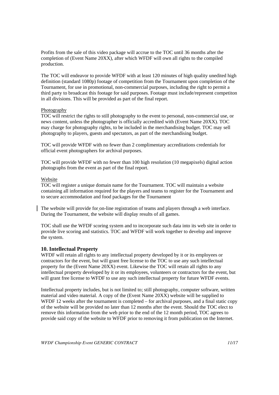Profits from the sale of this video package will accrue to the TOC until 36 months after the completion of (Event Name 20XX), after which WFDF will own all rights to the compiled production.

The TOC will endeavor to provide WFDF with at least 120 minutes of high quality unedited high definition (standard 1080p) footage of competition from the Tournament upon completion of the Tournament, for use in promotional, non-commercial purposes, including the right to permit a third party to broadcast this footage for said purposes. Footage must include/represent competiton in all divisions. This will be provided as part of the final report.

#### Photography

TOC will restrict the rights to still photography to the event to personal, non-commercial use, or news content, unless the photographer is officially accredited with (Event Name 20XX). TOC may charge for photography rights, to be included in the merchandising budget. TOC may sell photography to players, guests and spectators, as part of the merchandising budget.

TOC will provide WFDF with no fewer than 2 complimentary accreditations credentials for official event photographers for archival purposes.

TOC will provide WFDF with no fewer than 100 high resolution (10 megapixels) digital action photographs from the event as part of the final report.

#### Website

TOC will register a unique domain name for the Tournament. TOC will maintain a website containing all information required for the players and teams to register for the Tournament and to secure accommodation and food packages for the Tournament

The website will provide for on-line registration of teams and players through a web interface. During the Tournament, the website will display results of all games.

TOC shall use the WFDF scoring system and to incorporate such data into its web site in order to provide live scoring and statistics. TOC and WFDF will work together to develop and improve the system.

#### **10. Intellectual Property**

WFDF will retain all rights to any intellectual property developed by it or its employees or contractors for the event, but will grant free license to the TOC to use any such intellectual property for the (Event Name 20XX) event. Likewise the TOC will retain all rights to any intellectual property developed by it or its employees, volunteers or contractors for the event, but will grant free license to WFDF to use any such intellectual property for future WFDF events.

Intellectual property includes, but is not limited to; still photography, computer software, written material and video material. A copy of the (Event Name 20XX) website will be supplied to WFDF 12 weeks after the tournament is completed – for archival purposes, and a final static copy of the website will be provided no later than 12 months after the event. Should the TOC elect to remove this information from the web prior to the end of the 12 month period, TOC agrees to provide said copy of the website to WFDF prior to removing it from publication on the Internet.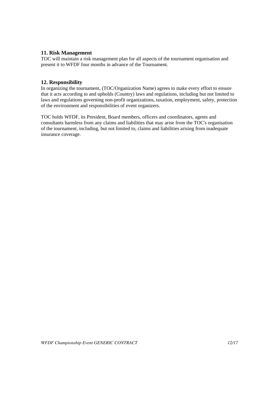#### **11. Risk Management**

TOC will maintain a risk management plan for all aspects of the tournament organisation and present it to WFDF four months in advance of the Tournament.

#### **12. Responsibility**

In organizing the tournament, (TOC/Organization Name) agrees to make every effort to ensure that it acts according to and upholds (Country) laws and regulations, including but not limited to laws and regulations governing non-profit organizations, taxation, employment, safety, protection of the environment and responsibilities of event organizers.

TOC holds WFDF, its President, Board members, officers and coordinators, agents and consultants harmless from any claims and liabilities that may arise from the TOC's organisation of the tournament, including, but not limited to, claims and liabilities arising from inadequate insurance coverage.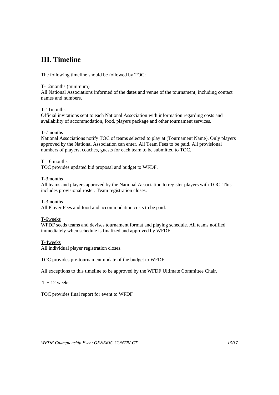## **III. Timeline**

The following timeline should be followed by TOC:

#### T-12months (minimum)

All National Associations informed of the dates and venue of the tournament, including contact names and numbers.

#### T-11months

Official invitations sent to each National Association with information regarding costs and availability of accommodation, food, players package and other tournament services.

#### T-7months

National Associations notify TOC of teams selected to play at (Tournament Name). Only players approved by the National Association can enter. All Team Fees to be paid. All provisional numbers of players, coaches, guests for each team to be submitted to TOC.

#### $T - 6$  months

TOC provides updated bid proposal and budget to WFDF.

#### T-3months

All teams and players approved by the National Association to register players with TOC. This includes provisional roster. Team registration closes.

#### T-3months

All Player Fees and food and accommodation costs to be paid.

#### T-6weeks

WFDF seeds teams and devises tournament format and playing schedule. All teams notified immediately when schedule is finalized and approved by WFDF.

#### T-4weeks

All individual player registration closes.

TOC provides pre-tournament update of the budget to WFDF

All exceptions to this timeline to be approved by the WFDF Ultimate Committee Chair.

 $T + 12$  weeks

TOC provides final report for event to WFDF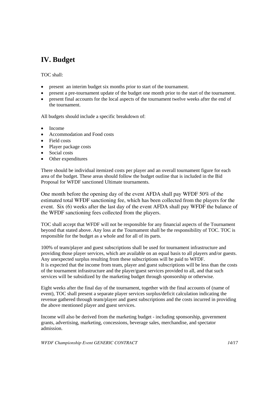## **IV. Budget**

TOC shall:

- present an interim budget six months prior to start of the tournament.
- present a pre-tournament update of the budget one month prior to the start of the tournament.
- present final accounts for the local aspects of the tournament twelve weeks after the end of the tournament.

All budgets should include a specific breakdown of:

- Income
- Accommodation and Food costs
- Field costs
- Player package costs
- Social costs
- Other expenditures

There should be individual itemized costs per player and an overall tournament figure for each area of the budget. These areas should follow the budget outline that is included in the Bid Proposal for WFDF sanctioned Ultimate tournaments.

One month before the opening day of the event AFDA shall pay WFDF 50% of the estimated total WFDF sanctioning fee, which has been collected from the players for the event. Six (6) weeks after the last day of the event AFDA shall pay WFDF the balance of the WFDF sanctioning fees collected from the players.

TOC shall accept that WFDF will not be responsible for any financial aspects of the Tournament beyond that stated above. Any loss at the Tournament shall be the responsibility of TOC. TOC is responsible for the budget as a whole and for all of its parts.

100% of team/player and guest subscriptions shall be used for tournament infrastructure and providing those player services, which are available on an equal basis to all players and/or guests. Any unexpected surplus resulting from these subscriptions will be paid to WFDF. It is expected that the income from team, player and guest subscriptions will be less than the costs of the tournament infrastructure and the player/guest services provided to all, and that such services will be subsidized by the marketing budget through sponsorship or otherwise.

Eight weeks after the final day of the tournament, together with the final accounts of (name of event), TOC shall present a separate player services surplus/deficit calculation indicating the revenue gathered through team/player and guest subscriptions and the costs incurred in providing the above mentioned player and guest services.

Income will also be derived from the marketing budget - including sponsorship, government grants, advertising, marketing, concessions, beverage sales, merchandise, and spectator admission.

*WFDF Championship Event GENERIC CONTRACT 14/17*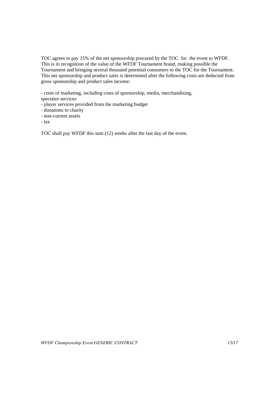TOC agrees to pay 15% of the net sponsorship procured by the TOC for the event to WFDF. This is in recognition of the value of the WFDF Tournament brand, making possible the Tournament and bringing several thousand potential consumers to the TOC for the Tournament. This net sponsorship and product sales is determined after the following costs are deducted from gross sponsorship and product sales income:

- costs of marketing, including costs of sponsorship, media, merchandising, spectator services

- player services provided from the marketing budget
- donations to charity
- non-current assets
- tax

TOC shall pay WFDF this sum (12) weeks after the last day of the event.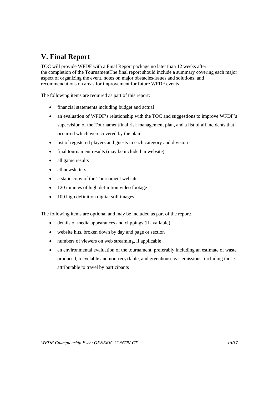## **V. Final Report**

TOC will provide WFDF with a Final Report package no later than 12 weeks after the completion of the TournamentThe final report should include a summary covering each major aspect of organizing the event, notes on major obstacles/issues and solutions, and recommendations on areas for improvement for future WFDF events

The following items are required as part of this report:

- financial statements including budget and actual
- an evaluation of WFDF's relationship with the TOC and suggestions to improve WFDF's supervision of the Tournamentfinal risk management plan, and a list of all incidents that occurred which were covered by the plan
- list of registered players and guests in each category and division
- final tournament results (may be included in website)
- all game results
- all newsletters
- a static copy of the Tournament website
- 120 minutes of high definition video footage
- 100 high definition digital still images

The following items are optional and may be included as part of the report:

- details of media appearances and clippings (if available)
- website hits, broken down by day and page or section
- numbers of viewers on web streaming, if applicable
- an environmental evaluation of the tournament, preferably including an estimate of waste produced, recyclable and non-recyclable, and greenhouse gas emissions, including those attributable to travel by participants